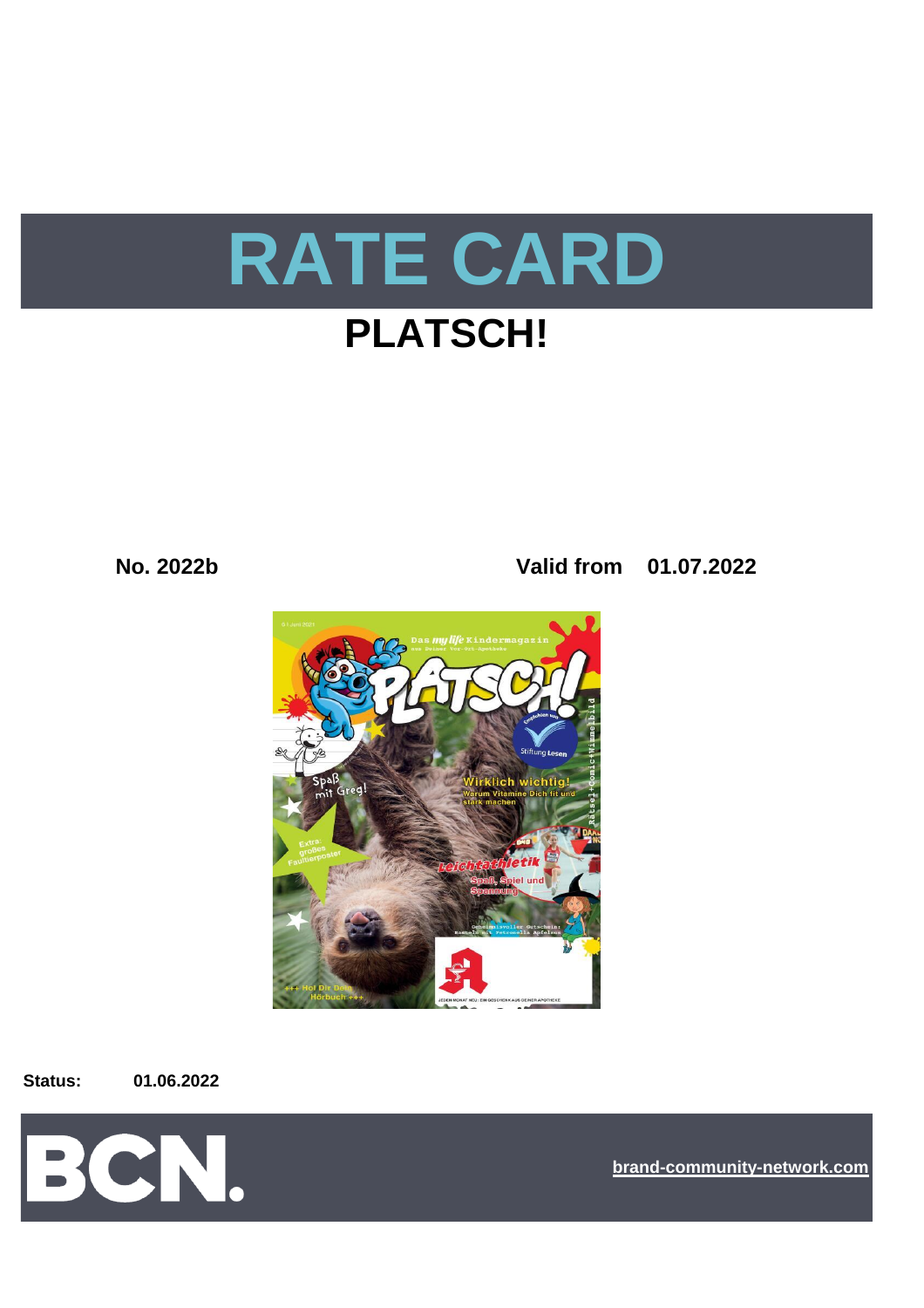

**No. 2022b Valid from 01.07.2022**



**Status: 01.06.2022**



**[bra](https://bcn.burda.com/)nd-community-network.com**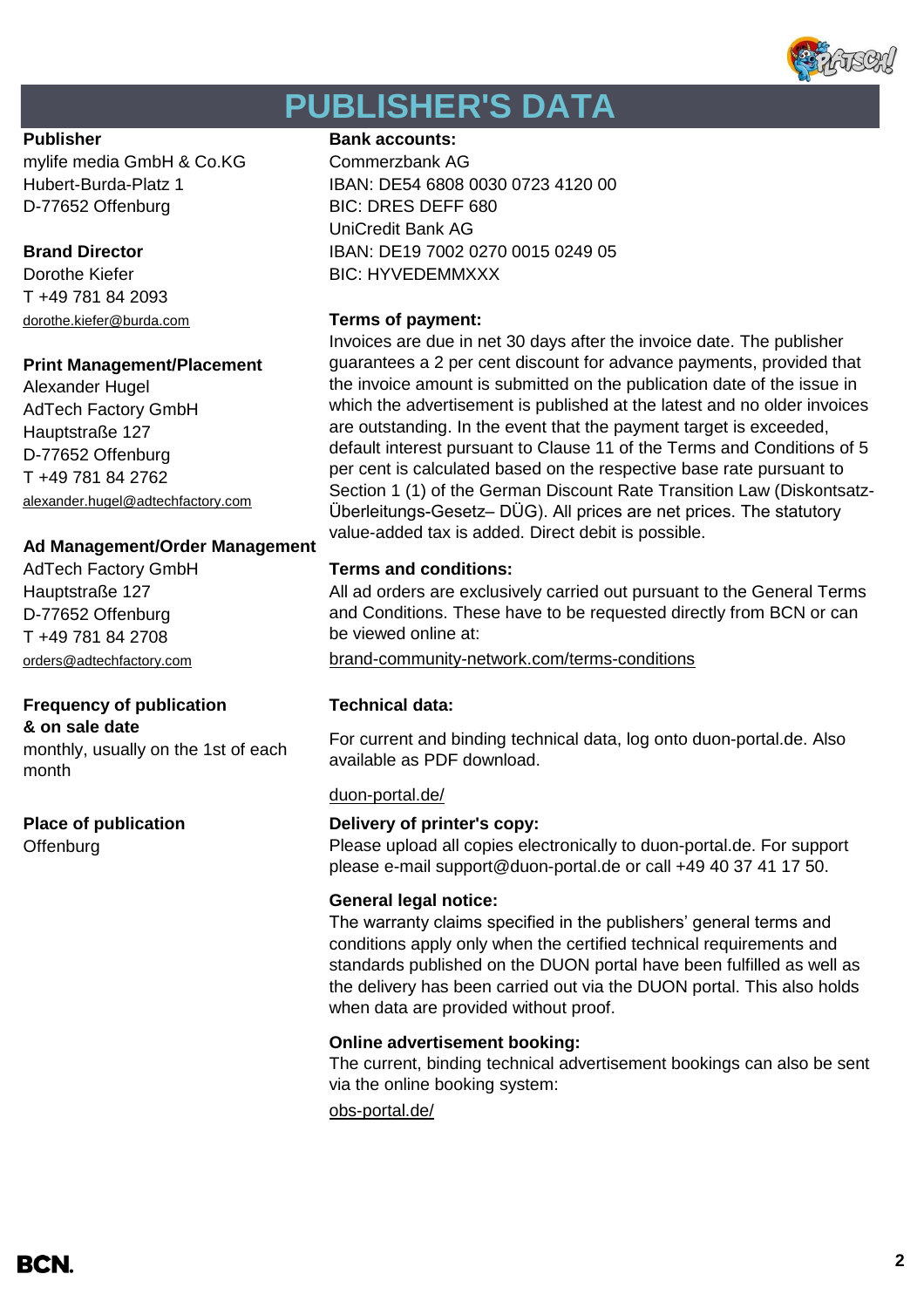

# **PUBLISHER'S DATA**

mylife media GmbH & Co.KG Commerzbank AG D-77652 Offenburg BIC: DRES DEFF 680

T +49 781 84 2093 dorothe.kiefer@burda.com **Terms of payment:**

#### **Print Management/Placement**

Alexander Hugel AdTech Factory GmbH Hauptstraße 127 D-77652 Offenburg T +49 781 84 2762 alexander.hugel@adtechfactory.com

### **Ad Management/Order Management**

AdTech Factory GmbH **Terms and conditions:** Hauptstraße 127 D-77652 Offenburg T +49 781 84 2708

### **Frequency of publication Technical data:**

**& on sale date**

monthly, usually on the 1st of each month

**Offenburg** 

#### **Publisher Bank accounts:**

Hubert-Burda-Platz 1 IBAN: DE54 6808 0030 0723 4120 00 UniCredit Bank AG **Brand Director IBAN: DE19 7002 0270 0015 0249 05** Dorothe Kiefer **BIC: HYVEDEMMXXX** 

Invoices are due in net 30 days after the invoice date. The publisher guarantees a 2 per cent discount for advance payments, provided that the invoice amount is submitted on the publication date of the issue in which the advertisement is published at the latest and no older invoices are outstanding. In the event that the payment target is exceeded, default interest pursuant to Clause 11 of the Terms and Conditions of 5 per cent is calculated based on the respective base rate pursuant to Section 1 (1) of the German Discount Rate Transition Law (Diskontsatz-Überleitungs-Gesetz– DÜG). All prices are net prices. The statutory value-added tax is added. Direct debit is possible.

All ad orders are exclusively carried out pursuant to the General Terms and Conditions. These have to be requested directly from BCN or can be viewed online at:

[orders@adtechfactory.com](mailto:orders@adtechfactory.com) [brand-community-network.com/terms-conditions](https://bcn.burda.com/terms-conditions)

For current and binding technical data, log onto duon-portal.de. Also available as PDF download.

#### [duon-portal.de/](https://duon-portal.de/)

#### **Place of publication Delivery of printer's copy:**

Please upload all copies electronically to duon-portal.de. For support please e-mail support@duon-portal.de or call +49 40 37 41 17 50.

#### **General legal notice:**

The warranty claims specified in the publishers' general terms and conditions apply only when the certified technical requirements and standards published on the DUON portal have been fulfilled as well as the delivery has been carried out via the DUON portal. This also holds when data are provided without proof.

#### **Online advertisement booking:**

The current, binding technical advertisement bookings can also be sent via the online booking system:

[obs-portal.de/](https://www.obs-portal.de/)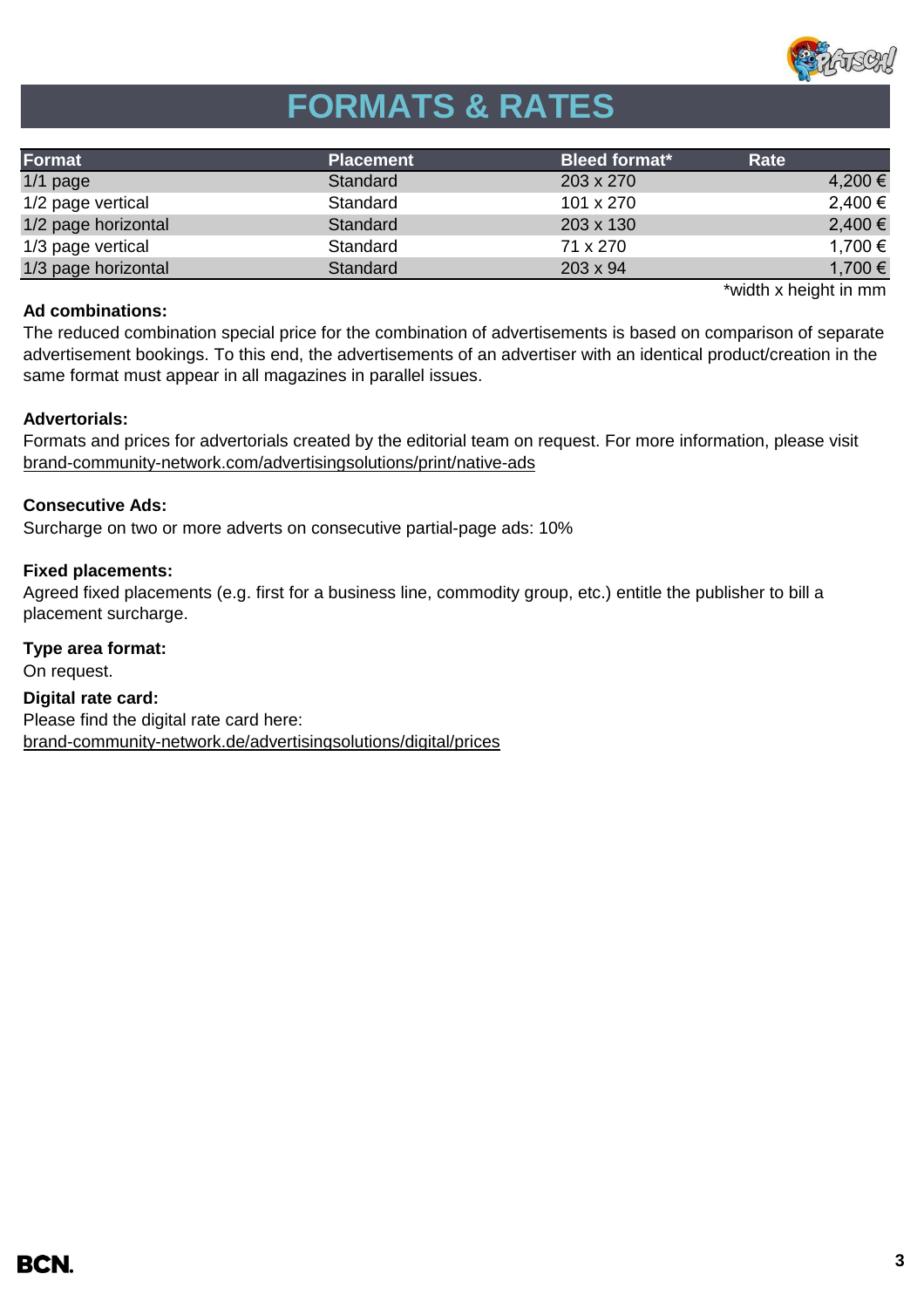

# **FORMATS & RATES**

| Format              | <b>Placement</b> | <b>Bleed format*</b> | Rate        |
|---------------------|------------------|----------------------|-------------|
| $1/1$ page          | Standard         | 203 x 270            | 4,200 €     |
| 1/2 page vertical   | Standard         | 101 x 270            | $2,400 \in$ |
| 1/2 page horizontal | Standard         | 203 x 130            | 2,400 €     |
| 1/3 page vertical   | Standard         | 71 x 270             | 1,700 €     |
| 1/3 page horizontal | <b>Standard</b>  | $203 \times 94$      | 1,700 €     |

#### **Ad combinations:**

\*width x height in mm

The reduced combination special price for the combination of advertisements is based on comparison of separate advertisement bookings. To this end, the advertisements of an advertiser with an identical product/creation in the same format must appear in all magazines in parallel issues.

### **Advertorials:**

Formats and prices for advertorials created by the editorial team on request. For more information, please visit [brand-community-network.com/advertisi](https://bcn.burda.com/advertisingsolutions/print/native-ads)ngsolutions/print/native-ads

### **Consecutive Ads:**

Surcharge on two or more adverts on consecutive partial-page ads: 10%

### **Fixed placements:**

Agreed fixed placements (e.g. first for a business line, commodity group, etc.) entitle the publisher to bill a placement surcharge.

### **Type area format:**

On request.

**Digital rate card:** Please find the digital rate card here: [brand-community-network.de/advertisingsolutions/digital/prices](https://bcn.burda.com/advertisingsolutions/digital/prices)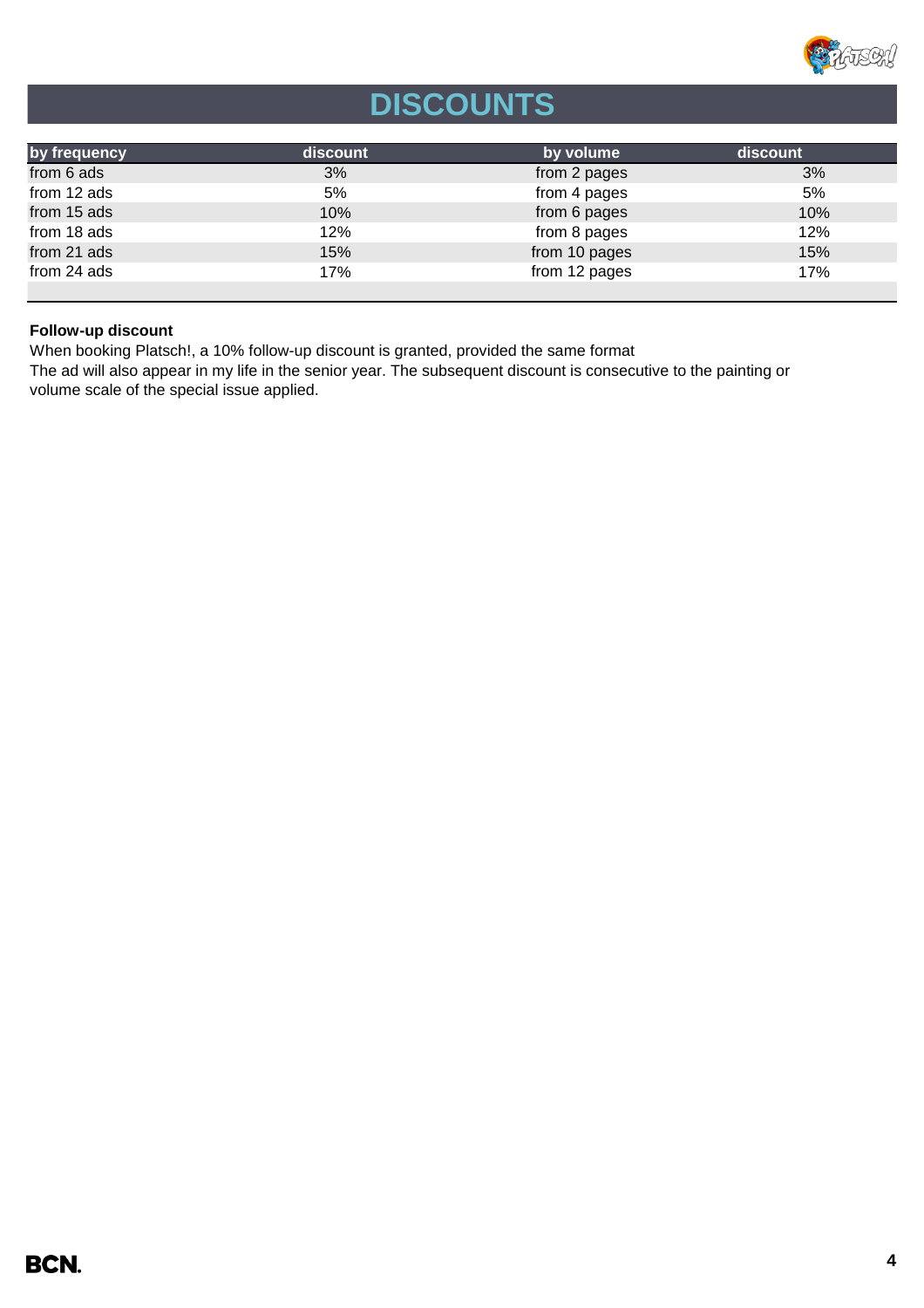

# **DISCOUNTS**

| by frequency | <b>discount</b> | by volume     | discount |
|--------------|-----------------|---------------|----------|
| from 6 ads   | 3%              | from 2 pages  | 3%       |
| from 12 ads  | 5%              | from 4 pages  | 5%       |
| from 15 ads  | 10%             | from 6 pages  | 10%      |
| from 18 ads  | 12%             | from 8 pages  | 12%      |
| from 21 ads  | 15%             | from 10 pages | 15%      |
| from 24 ads  | 17%             | from 12 pages | 17%      |
|              |                 |               |          |

### **Follow-up discount**

When booking Platsch!, a 10% follow-up discount is granted, provided the same format

The ad will also appear in my life in the senior year. The subsequent discount is consecutive to the painting or volume scale of the special issue applied.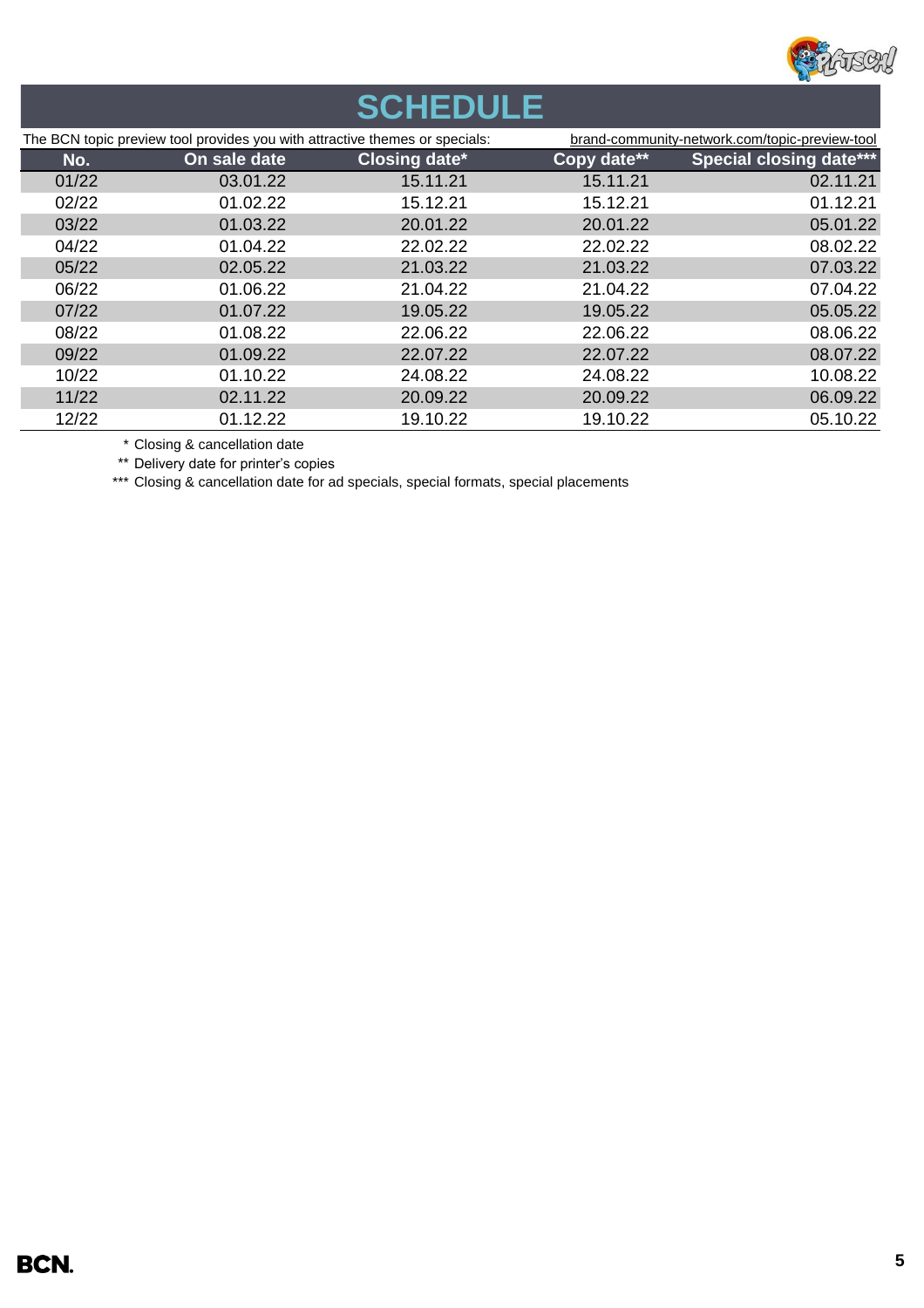

# **SCHEDULE**

| The BCN topic preview tool provides you with attractive themes or specials: |              | brand-community-network.com/topic-preview-tool |             |                                |
|-----------------------------------------------------------------------------|--------------|------------------------------------------------|-------------|--------------------------------|
| No.                                                                         | On sale date | <b>Closing date*</b>                           | Copy date** | <b>Special closing date***</b> |
| 01/22                                                                       | 03.01.22     | 15.11.21                                       | 15.11.21    | 02.11.21                       |
| 02/22                                                                       | 01.02.22     | 15.12.21                                       | 15.12.21    | 01.12.21                       |
| 03/22                                                                       | 01.03.22     | 20.01.22                                       | 20.01.22    | 05.01.22                       |
| 04/22                                                                       | 01.04.22     | 22.02.22                                       | 22.02.22    | 08.02.22                       |
| 05/22                                                                       | 02.05.22     | 21.03.22                                       | 21.03.22    | 07.03.22                       |
| 06/22                                                                       | 01.06.22     | 21.04.22                                       | 21.04.22    | 07.04.22                       |
| 07/22                                                                       | 01.07.22     | 19.05.22                                       | 19.05.22    | 05.05.22                       |
| 08/22                                                                       | 01.08.22     | 22.06.22                                       | 22.06.22    | 08.06.22                       |
| 09/22                                                                       | 01.09.22     | 22.07.22                                       | 22.07.22    | 08.07.22                       |
| 10/22                                                                       | 01.10.22     | 24.08.22                                       | 24.08.22    | 10.08.22                       |
| 11/22                                                                       | 02.11.22     | 20.09.22                                       | 20.09.22    | 06.09.22                       |
| 12/22                                                                       | 01.12.22     | 19.10.22                                       | 19.10.22    | 05.10.22                       |

\* Closing & cancellation date

\*\* Delivery date for printer's copies

\*\*\* Closing & cancellation date for ad specials, special formats, special placements